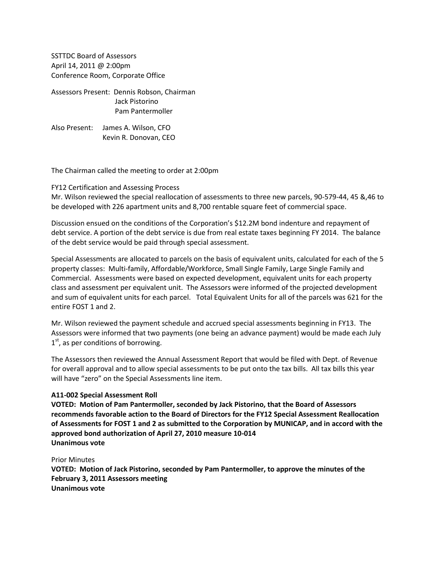SSTTDC Board of Assessors April 14, 2011 @ 2:00pm Conference Room, Corporate Office

Assessors Present: Dennis Robson, Chairman Jack Pistorino Pam Pantermoller

Also Present: James A. Wilson, CFO Kevin R. Donovan, CEO

The Chairman called the meeting to order at 2:00pm

FY12 Certification and Assessing Process

Mr. Wilson reviewed the special reallocation of assessments to three new parcels, 90-579-44, 45 &,46 to be developed with 226 apartment units and 8,700 rentable square feet of commercial space.

Discussion ensued on the conditions of the Corporation's \$12.2M bond indenture and repayment of debt service. A portion of the debt service is due from real estate taxes beginning FY 2014. The balance of the debt service would be paid through special assessment.

Special Assessments are allocated to parcels on the basis of equivalent units, calculated for each of the 5 property classes: Multi-family, Affordable/Workforce, Small Single Family, Large Single Family and Commercial. Assessments were based on expected development, equivalent units for each property class and assessment per equivalent unit. The Assessors were informed of the projected development and sum of equivalent units for each parcel. Total Equivalent Units for all of the parcels was 621 for the entire FOST 1 and 2.

Mr. Wilson reviewed the payment schedule and accrued special assessments beginning in FY13. The Assessors were informed that two payments (one being an advance payment) would be made each July  $1<sup>st</sup>$ , as per conditions of borrowing.

The Assessors then reviewed the Annual Assessment Report that would be filed with Dept. of Revenue for overall approval and to allow special assessments to be put onto the tax bills. All tax bills this year will have "zero" on the Special Assessments line item.

## **A11-002 Special Assessment Roll**

**VOTED: Motion of Pam Pantermoller, seconded by Jack Pistorino, that the Board of Assessors recommends favorable action to the Board of Directors for the FY12 Special Assessment Reallocation of Assessments for FOST 1 and 2 as submitted to the Corporation by MUNICAP, and in accord with the approved bond authorization of April 27, 2010 measure 10-014 Unanimous vote**

Prior Minutes

**VOTED: Motion of Jack Pistorino, seconded by Pam Pantermoller, to approve the minutes of the February 3, 2011 Assessors meeting Unanimous vote**